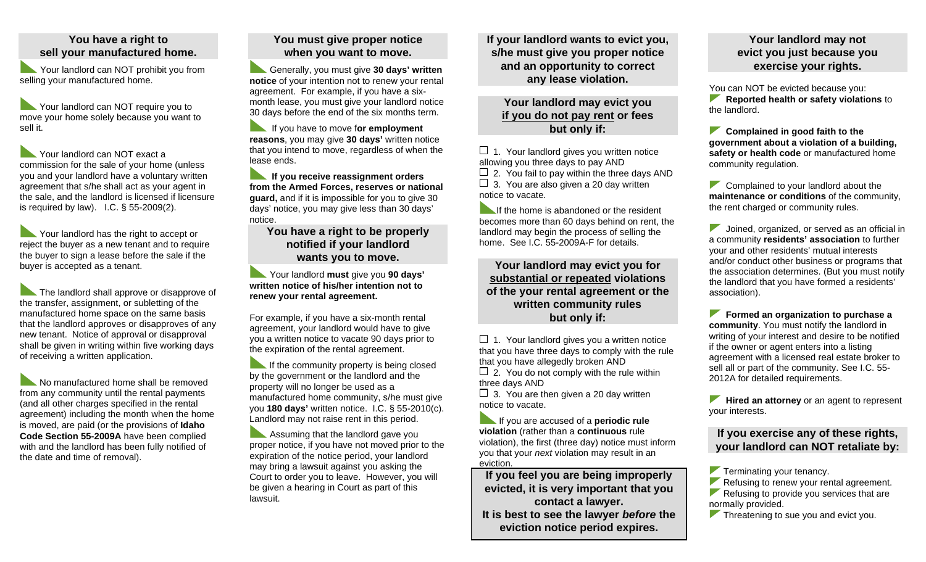## **You have a right to sell your manufactured home.**

Your landlord can NOT prohibit you from selling your manufactured home.

Your landlord can NOT require you to move your home solely because you want to sell it.

Your landlord can NOT exact a commission for the sale of your home (unless you and your landlord have a voluntary written agreement that s/he shall act as your agent in the sale, and the landlord is licensed if licensure is required by law). I.C. § 55-2009(2).

Your landlord has the right to accept or reject the buyer as a new tenant and to require the buyer to sign a lease before the sale if the buyer is accepted as a tenant.

The landlord shall approve or disapprove of the transfer, assignment, or subletting of the manufactured home space on the same basis that the landlord approves or disapproves of any new tenant. Notice of approval or disapproval shall be given in writing within five working days of receiving a written application.

No manufactured home shall be removed from any community until the rental payments (and all other charges specified in the rental agreement) including the month when the home is moved, are paid (or the provisions of **Idaho Code Section 55-2009A** have been complied with and the landlord has been fully notified of the date and time of removal).

# **You must give proper notice when you want to move.**

Generally, you must give **30 days' written notice** of your intention not to renew your rental agreement. For example, if you have a sixmonth lease, you must give your landlord notice 30 days before the end of the six months term.

If you have to move for employment **reasons**, you may give **30 days'** written notice that you intend to move, regardless of when the lease ends.

**If you receive reassignment orders from the Armed Forces, reserves or national guard,** and if it is impossible for you to give 30 days' notice, you may give less than 30 days' notice.

**You have a right to be properly notified if your landlord wants you to move.**

Your landlord **must** give you **90 days' written notice of his/her intention not to renew your rental agreement.**

For example, if you have a six-month rental agreement, your landlord would have to give you a written notice to vacate 90 days prior to the expiration of the rental agreement.

If the community property is being closed by the government or the landlord and the property will no longer be used as a manufactured home community, s/he must give you **180 days'** written notice. I.C. § 55-2010(c). Landlord may not raise rent in this period.

Assuming that the landlord gave you proper notice, if you have not moved prior to the expiration of the notice period, your landlord may bring a lawsuit against you asking the Court to order you to leave. However, you will be given a hearing in Court as part of this lawsuit.

**If your landlord wants to evict you, s/he must give you proper notice and an opportunity to correct any lease violation.**

## **Your landlord may evict you if you do not pay rent or fees but only if:**

 $\Box$  1. Your landlord gives you written notice allowing you three days to pay AND  $\Box$  2. You fail to pay within the three days AND  $\Box$  3. You are also given a 20 day written notice to vacate.

If the home is abandoned or the resident becomes more than 60 days behind on rent, the landlord may begin the process of selling the home. See I.C. 55-2009A-F for details.

**Your landlord may evict you for substantial or repeated violations of the your rental agreement or the written community rules but only if:**

 $\Box$  1. Your landlord gives you a written notice that you have three days to comply with the rule that you have allegedly broken AND  $\Box$  2. You do not comply with the rule within three days AND

 $\Box$  3. You are then given a 20 day written notice to vacate.

**If you are accused of a periodic rule violation** (rather than a **continuous** rule violation), the first (three day) notice must inform you that your *next* violation may result in an eviction.

**If you feel you are being improperly evicted, it is very important that you contact a lawyer. It is best to see the lawyer** *before* **the eviction notice period expires.** 

# **Your landlord may not evict you just because you exercise your rights.**

You can NOT be evicted because you: **Reported health or safety violations** to the landlord.

**Complained in good faith to the government about a violation of a building, safety or health code** or manufactured home community regulation.

Complained to your landlord about the **maintenance or conditions** of the community, the rent charged or community rules.

 Joined, organized, or served as an official in a community **residents' association** to further your and other residents' mutual interests and/or conduct other business or programs that the association determines. (But you must notify the landlord that you have formed a residents' association).

**Formed an organization to purchase a community**. You must notify the landlord in writing of your interest and desire to be notified if the owner or agent enters into a listing agreement with a licensed real estate broker to sell all or part of the community. See I.C. 55- 2012A for detailed requirements.

**Hired an attorney** or an agent to represent your interests.

## **If you exercise any of these rights, your landlord can NOT retaliate by:**

**Terminating your tenancy.** 

Refusing to renew your rental agreement.

Refusing to provide you services that are normally provided.

Threatening to sue you and evict you.